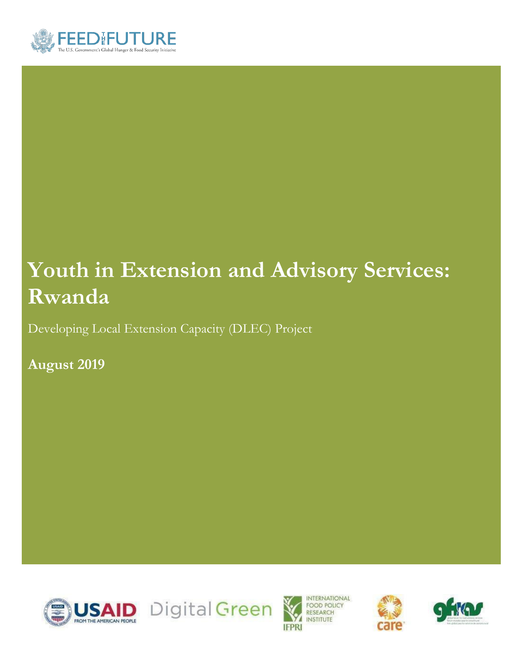

# **Youth in Extension and Advisory Services: Rwanda**

Developing Local Extension Capacity (DLEC) Project

**August 2019**









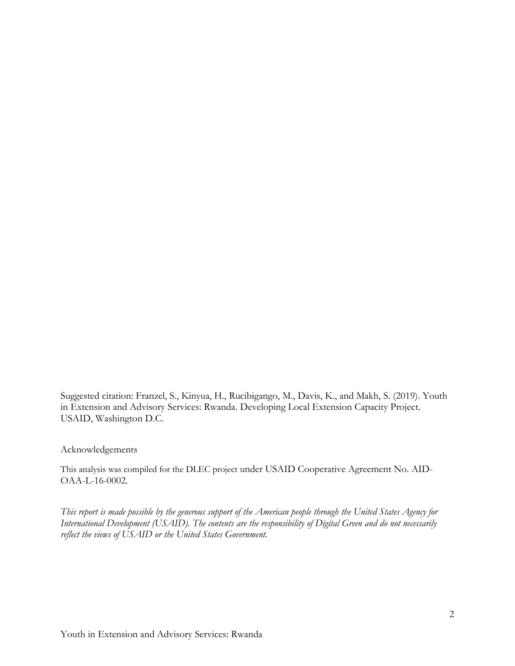Suggested citation: Franzel, S., Kinyua, H., Rucibigango, M., Davis, K., and Makh, S. (2019). Youth in Extension and Advisory Services: Rwanda. Developing Local Extension Capacity Project. USAID, Washington D.C.

#### Acknowledgements

This analysis was compiled for the DLEC project under USAID Cooperative Agreement No. AID-OAA-L-16-0002.

*This report is made possible by the generous support of the American people through the United States Agency for International Development (USAID). The contents are the responsibility of Digital Green and do not necessarily reflect the views of USAID or the United States Government.*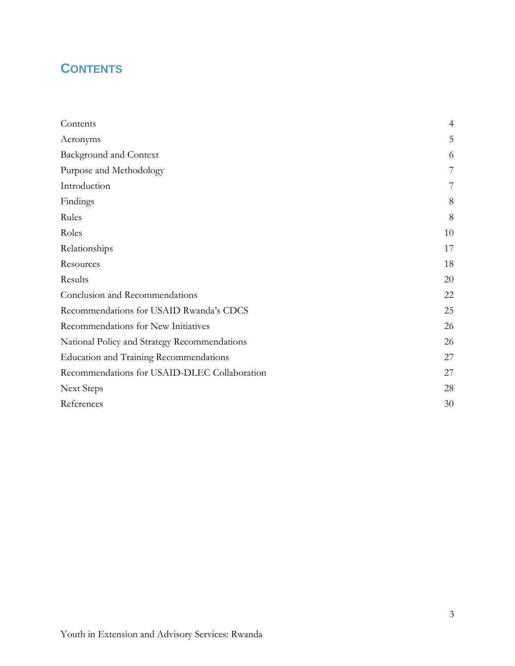# <span id="page-2-0"></span>**CONTENTS**

| Contents                                      | $\overline{4}$ |
|-----------------------------------------------|----------------|
| Acronyms                                      | 5              |
| <b>Background and Context</b>                 | 6              |
| Purpose and Methodology                       | 7              |
| Introduction                                  | 7              |
| Findings                                      | 8              |
| Rules                                         | 8              |
| Roles                                         | 10             |
| Relationships                                 | 17             |
| Resources                                     | 18             |
| Results                                       | 20             |
| Conclusion and Recommendations                | 22             |
| Recommendations for USAID Rwanda's CDCS       | 25             |
| Recommendations for New Initiatives           | 26             |
| National Policy and Strategy Recommendations  | 26             |
| <b>Education and Training Recommendations</b> | 27             |
| Recommendations for USAID-DLEC Collaboration  | 27             |
| <b>Next Steps</b>                             | 28             |
| References                                    | 30             |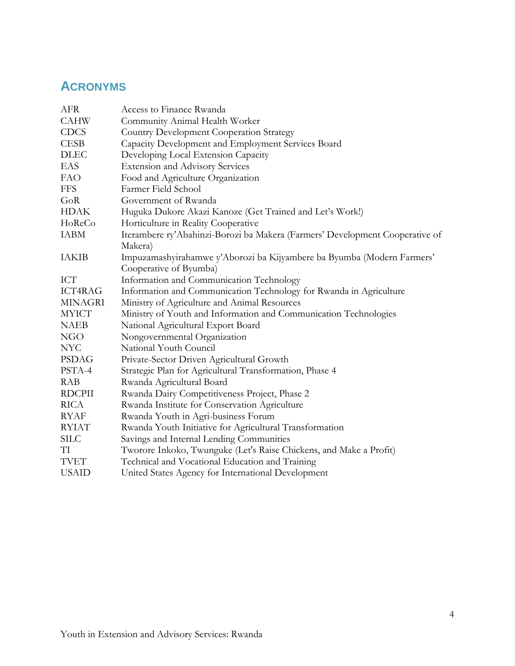# <span id="page-3-0"></span>**ACRONYMS**

| Access to Finance Rwanda                                                     |
|------------------------------------------------------------------------------|
| Community Animal Health Worker                                               |
| <b>Country Development Cooperation Strategy</b>                              |
| Capacity Development and Employment Services Board                           |
| Developing Local Extension Capacity                                          |
| <b>Extension and Advisory Services</b>                                       |
| Food and Agriculture Organization                                            |
| Farmer Field School                                                          |
| Government of Rwanda                                                         |
| Huguka Dukore Akazi Kanoze (Get Trained and Let's Work!)                     |
| Horticulture in Reality Cooperative                                          |
| Iterambere ry'Abahinzi-Borozi ba Makera (Farmers' Development Cooperative of |
| Makera)                                                                      |
| Impuzamashyirahamwe y'Aborozi ba Kijyambere ba Byumba (Modern Farmers'       |
| Cooperative of Byumba)                                                       |
| Information and Communication Technology                                     |
| Information and Communication Technology for Rwanda in Agriculture           |
| Ministry of Agriculture and Animal Resources                                 |
| Ministry of Youth and Information and Communication Technologies             |
| National Agricultural Export Board                                           |
| Nongovernmental Organization                                                 |
| National Youth Council                                                       |
| Private-Sector Driven Agricultural Growth                                    |
| Strategic Plan for Agricultural Transformation, Phase 4                      |
| Rwanda Agricultural Board                                                    |
| Rwanda Dairy Competitiveness Project, Phase 2                                |
| Rwanda Institute for Conservation Agriculture                                |
| Rwanda Youth in Agri-business Forum                                          |
| Rwanda Youth Initiative for Agricultural Transformation                      |
| Savings and Internal Lending Communities                                     |
| Tworore Inkoko, Twunguke (Let's Raise Chickens, and Make a Profit)           |
| Technical and Vocational Education and Training                              |
| United States Agency for International Development                           |
|                                                                              |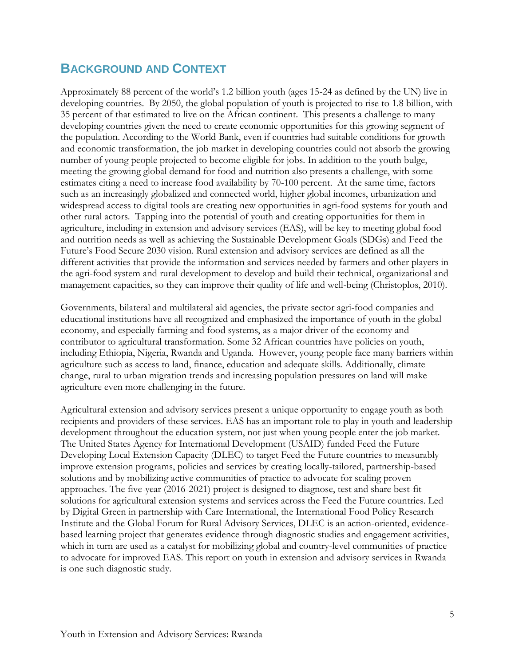### <span id="page-4-1"></span><span id="page-4-0"></span>**BACKGROUND AND CONTEXT**

Approximately 88 percent of the world's 1.2 billion youth (ages 15-24 as defined by the UN) live in developing countries. By 2050, the global population of youth is projected to rise to 1.8 billion, with 35 percent of that estimated to live on the African continent. This presents a challenge to many developing countries given the need to create economic opportunities for this growing segment of the population. According to the World Bank, even if countries had suitable conditions for growth and economic transformation, the job market in developing countries could not absorb the growing number of young people projected to become eligible for jobs. In addition to the youth bulge, meeting the growing global demand for food and nutrition also presents a challenge, with some estimates citing a need to increase food availability by 70-100 percent. At the same time, factors such as an increasingly globalized and connected world, higher global incomes, urbanization and widespread access to digital tools are creating new opportunities in agri-food systems for youth and other rural actors. Tapping into the potential of youth and creating opportunities for them in agriculture, including in extension and advisory services (EAS), will be key to meeting global food and nutrition needs as well as achieving the Sustainable Development Goals (SDGs) and Feed the Future's Food Secure 2030 vision. Rural extension and advisory services are defined as all the different activities that provide the information and services needed by farmers and other players in the agri-food system and rural development to develop and build their technical, organizational and management capacities, so they can improve their quality of life and well-being (Christoplos, 2010).

Governments, bilateral and multilateral aid agencies, the private sector agri-food companies and educational institutions have all recognized and emphasized the importance of youth in the global economy, and especially farming and food systems, as a major driver of the economy and contributor to agricultural transformation. Some 32 African countries have policies on youth, including Ethiopia, Nigeria, Rwanda and Uganda. However, young people face many barriers within agriculture such as access to land, finance, education and adequate skills. Additionally, climate change, rural to urban migration trends and increasing population pressures on land will make agriculture even more challenging in the future.

Agricultural extension and advisory services present a unique opportunity to engage youth as both recipients and providers of these services. EAS has an important role to play in youth and leadership development throughout the education system, not just when young people enter the job market. The United States Agency for International Development (USAID) funded Feed the Future Developing Local Extension Capacity (DLEC) to target Feed the Future countries to measurably improve extension programs, policies and services by creating locally-tailored, partnership-based solutions and by mobilizing active communities of practice to advocate for scaling proven approaches. The five-year (2016-2021) project is designed to diagnose, test and share best-fit solutions for agricultural extension systems and services across the Feed the Future countries. Led by Digital Green in partnership with Care International, the International Food Policy Research Institute and the Global Forum for Rural Advisory Services, DLEC is an action-oriented, evidencebased learning project that generates evidence through diagnostic studies and engagement activities, which in turn are used as a catalyst for mobilizing global and country-level communities of practice to advocate for improved EAS. This report on youth in extension and advisory services in Rwanda is one such diagnostic study.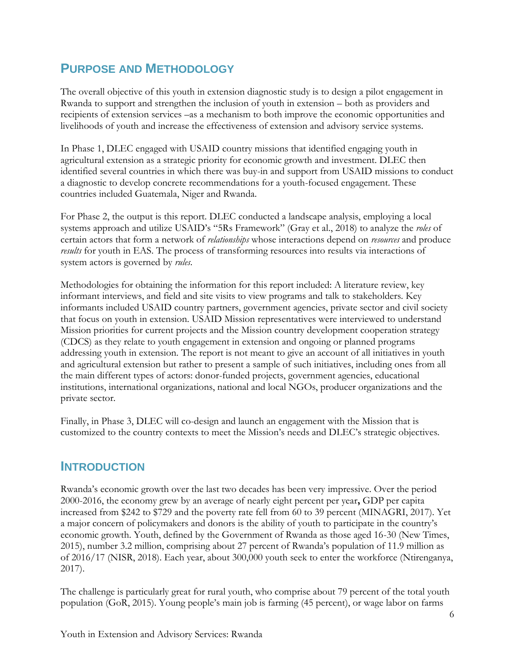# **PURPOSE AND METHODOLOGY**

The overall objective of this youth in extension diagnostic study is to design a pilot engagement in Rwanda to support and strengthen the inclusion of youth in extension – both as providers and recipients of extension services –as a mechanism to both improve the economic opportunities and livelihoods of youth and increase the effectiveness of extension and advisory service systems.

In Phase 1, DLEC engaged with USAID country missions that identified engaging youth in agricultural extension as a strategic priority for economic growth and investment. DLEC then identified several countries in which there was buy-in and support from USAID missions to conduct a diagnostic to develop concrete recommendations for a youth-focused engagement. These countries included Guatemala, Niger and Rwanda.

For Phase 2, the output is this report. DLEC conducted a landscape analysis, employing a local systems approach and utilize USAID's "5Rs Framework" (Gray et al., 2018) to analyze the *roles* of certain actors that form a network of *relationships* whose interactions depend on *resources* and produce *results* for youth in EAS. The process of transforming resources into results via interactions of system actors is governed by *rules*.

Methodologies for obtaining the information for this report included: A literature review, key informant interviews, and field and site visits to view programs and talk to stakeholders. Key informants included USAID country partners, government agencies, private sector and civil society that focus on youth in extension. USAID Mission representatives were interviewed to understand Mission priorities for current projects and the Mission country development cooperation strategy (CDCS) as they relate to youth engagement in extension and ongoing or planned programs addressing youth in extension. The report is not meant to give an account of all initiatives in youth and agricultural extension but rather to present a sample of such initiatives, including ones from all the main different types of actors: donor-funded projects, government agencies, educational institutions, international organizations, national and local NGOs, producer organizations and the private sector.

Finally, in Phase 3, DLEC will co-design and launch an engagement with the Mission that is customized to the country contexts to meet the Mission's needs and DLEC's strategic objectives.

### <span id="page-5-0"></span>**INTRODUCTION**

Rwanda's economic growth over the last two decades has been very impressive. Over the period 2000-2016, the economy grew by an average of nearly eight percent per year**,** GDP per capita increased from \$242 to \$729 and the poverty rate fell from 60 to 39 percent (MINAGRI, 2017). Yet a major concern of policymakers and donors is the ability of youth to participate in the country's economic growth. Youth, defined by the Government of Rwanda as those aged 16-30 (New Times, 2015), number 3.2 million, comprising about 27 percent of Rwanda's population of 11.9 million as of 2016/17 (NISR, 2018). Each year, about 300,000 youth seek to enter the workforce (Ntirenganya, 2017).

The challenge is particularly great for rural youth, who comprise about 79 percent of the total youth population (GoR, 2015). Young people's main job is farming (45 percent), or wage labor on farms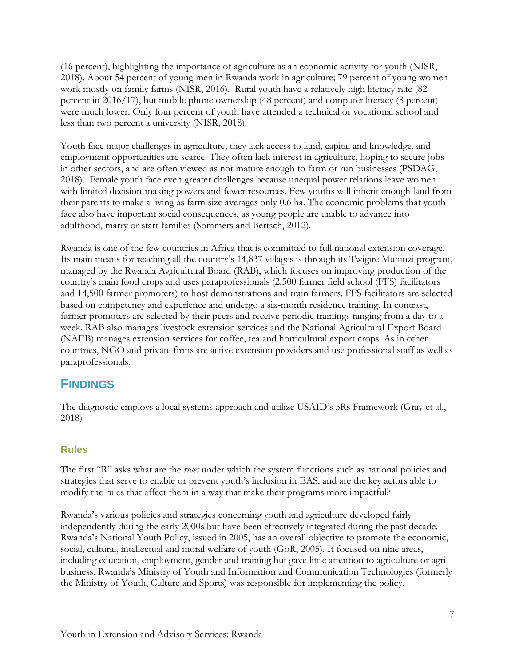(16 percent), highlighting the importance of agriculture as an economic activity for youth (NISR, 2018). About 54 percent of young men in Rwanda work in agriculture; 79 percent of young women work mostly on family farms (NISR, 2016). Rural youth have a relatively high literacy rate (82 percent in 2016/17), but mobile phone ownership (48 percent) and computer literacy (8 percent) were much lower. Only four percent of youth have attended a technical or vocational school and less than two percent a university (NISR, 2018).

Youth face major challenges in agriculture; they lack access to land, capital and knowledge, and employment opportunities are scarce. They often lack interest in agriculture, hoping to secure jobs in other sectors, and are often viewed as not mature enough to farm or run businesses (PSDAG, 2018). Female youth face even greater challenges because unequal power relations leave women with limited decision-making powers and fewer resources. Few youths will inherit enough land from their parents to make a living as farm size averages only 0.6 ha. The economic problems that youth face also have important social consequences, as young people are unable to advance into adulthood, marry or start families (Sommers and Bertsch, 2012).

Rwanda is one of the few countries in Africa that is committed to full national extension coverage. Its main means for reaching all the country's 14,837 villages is through its Twigire Muhinzi program, managed by the Rwanda Agricultural Board (RAB), which focuses on improving production of the country's main food crops and uses paraprofessionals (2,500 farmer field school (FFS) facilitators and 14,500 farmer promoters) to host demonstrations and train farmers. FFS facilitators are selected based on competency and experience and undergo a six-month residence training. In contrast, farmer promoters are selected by their peers and receive periodic trainings ranging from a day to a week. RAB also manages livestock extension services and the National Agricultural Export Board (NAEB) manages extension services for coffee, tea and horticultural export crops. As in other countries, NGO and private firms are active extension providers and use professional staff as well as paraprofessionals.

### <span id="page-6-0"></span>**FINDINGS**

The diagnostic employs a local systems approach and utilize USAID's 5Rs Framework (Gray et al., 2018)

#### <span id="page-6-1"></span>**Rules**

The first "R" asks what are the *rules* under which the system functions such as national policies and strategies that serve to enable or prevent youth's inclusion in EAS, and are the key actors able to modify the rules that affect them in a way that make their programs more impactful?

Rwanda's various policies and strategies concerning youth and agriculture developed fairly independently during the early 2000s but have been effectively integrated during the past decade. Rwanda's National Youth Policy, issued in 2005, has an overall objective to promote the economic, social, cultural, intellectual and moral welfare of youth (GoR, 2005). It focused on nine areas, including education, employment, gender and training but gave little attention to agriculture or agribusiness. Rwanda's Ministry of Youth and Information and Communication Technologies (formerly the Ministry of Youth, Culture and Sports) was responsible for implementing the policy.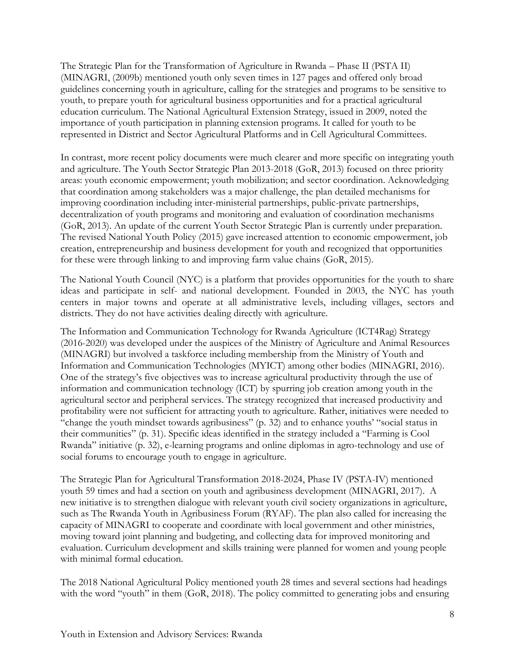The Strategic Plan for the Transformation of Agriculture in Rwanda – Phase II (PSTA II) (MINAGRI, (2009b) mentioned youth only seven times in 127 pages and offered only broad guidelines concerning youth in agriculture, calling for the strategies and programs to be sensitive to youth, to prepare youth for agricultural business opportunities and for a practical agricultural education curriculum. The National Agricultural Extension Strategy, issued in 2009, noted the importance of youth participation in planning extension programs. It called for youth to be represented in District and Sector Agricultural Platforms and in Cell Agricultural Committees.

In contrast, more recent policy documents were much clearer and more specific on integrating youth and agriculture. The Youth Sector Strategic Plan 2013-2018 (GoR, 2013) focused on three priority areas: youth economic empowerment; youth mobilization; and sector coordination. Acknowledging that coordination among stakeholders was a major challenge, the plan detailed mechanisms for improving coordination including inter-ministerial partnerships, public-private partnerships, decentralization of youth programs and monitoring and evaluation of coordination mechanisms (GoR, 2013). An update of the current Youth Sector Strategic Plan is currently under preparation. The revised National Youth Policy (2015) gave increased attention to economic empowerment, job creation, entrepreneurship and business development for youth and recognized that opportunities for these were through linking to and improving farm value chains (GoR, 2015).

The National Youth Council (NYC) is a platform that provides opportunities for the youth to share ideas and participate in self- and national development. Founded in 2003, the NYC has youth centers in major towns and operate at all administrative levels, including villages, sectors and districts. They do not have activities dealing directly with agriculture.

The Information and Communication Technology for Rwanda Agriculture (ICT4Rag) Strategy (2016-2020) was developed under the auspices of the Ministry of Agriculture and Animal Resources (MINAGRI) but involved a taskforce including membership from the Ministry of Youth and Information and Communication Technologies (MYICT) among other bodies (MINAGRI, 2016). One of the strategy's five objectives was to increase agricultural productivity through the use of information and communication technology (ICT) by spurring job creation among youth in the agricultural sector and peripheral services. The strategy recognized that increased productivity and profitability were not sufficient for attracting youth to agriculture. Rather, initiatives were needed to "change the youth mindset towards agribusiness" (p. 32) and to enhance youths' "social status in their communities" (p. 31). Specific ideas identified in the strategy included a "Farming is Cool Rwanda" initiative (p. 32), e-learning programs and online diplomas in agro-technology and use of social forums to encourage youth to engage in agriculture.

The Strategic Plan for Agricultural Transformation 2018-2024, Phase IV (PSTA-IV) mentioned youth 59 times and had a section on youth and agribusiness development (MINAGRI, 2017). A new initiative is to strengthen dialogue with relevant youth civil society organizations in agriculture, such as The Rwanda Youth in Agribusiness Forum (RYAF). The plan also called for increasing the capacity of MINAGRI to cooperate and coordinate with local government and other ministries, moving toward joint planning and budgeting, and collecting data for improved monitoring and evaluation. Curriculum development and skills training were planned for women and young people with minimal formal education.

The 2018 National Agricultural Policy mentioned youth 28 times and several sections had headings with the word "youth" in them (GoR, 2018). The policy committed to generating jobs and ensuring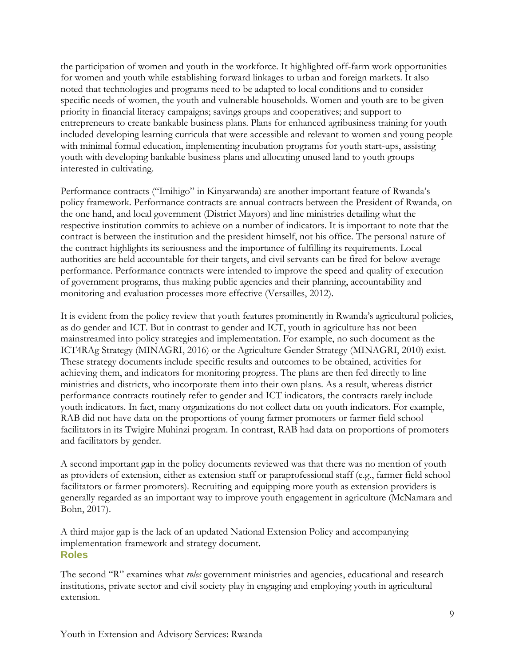the participation of women and youth in the workforce. It highlighted off-farm work opportunities for women and youth while establishing forward linkages to urban and foreign markets. It also noted that technologies and programs need to be adapted to local conditions and to consider specific needs of women, the youth and vulnerable households. Women and youth are to be given priority in financial literacy campaigns; savings groups and cooperatives; and support to entrepreneurs to create bankable business plans. Plans for enhanced agribusiness training for youth included developing learning curricula that were accessible and relevant to women and young people with minimal formal education, implementing incubation programs for youth start-ups, assisting youth with developing bankable business plans and allocating unused land to youth groups interested in cultivating.

Performance contracts ("Imihigo" in Kinyarwanda) are another important feature of Rwanda's policy framework. Performance contracts are annual contracts between the President of Rwanda, on the one hand, and local government (District Mayors) and line ministries detailing what the respective institution commits to achieve on a number of indicators. It is important to note that the contract is between the institution and the president himself, not his office. The personal nature of the contract highlights its seriousness and the importance of fulfilling its requirements. Local authorities are held accountable for their targets, and civil servants can be fired for below-average performance. Performance contracts were intended to improve the speed and quality of execution of government programs, thus making public agencies and their planning, accountability and monitoring and evaluation processes more effective (Versailles, 2012).

It is evident from the policy review that youth features prominently in Rwanda's agricultural policies, as do gender and ICT. But in contrast to gender and ICT, youth in agriculture has not been mainstreamed into policy strategies and implementation. For example, no such document as the ICT4RAg Strategy (MINAGRI, 2016) or the Agriculture Gender Strategy (MINAGRI, 2010) exist. These strategy documents include specific results and outcomes to be obtained, activities for achieving them, and indicators for monitoring progress. The plans are then fed directly to line ministries and districts, who incorporate them into their own plans. As a result, whereas district performance contracts routinely refer to gender and ICT indicators, the contracts rarely include youth indicators. In fact, many organizations do not collect data on youth indicators. For example, RAB did not have data on the proportions of young farmer promoters or farmer field school facilitators in its Twigire Muhinzi program. In contrast, RAB had data on proportions of promoters and facilitators by gender.

A second important gap in the policy documents reviewed was that there was no mention of youth as providers of extension, either as extension staff or paraprofessional staff (e.g., farmer field school facilitators or farmer promoters). Recruiting and equipping more youth as extension providers is generally regarded as an important way to improve youth engagement in agriculture (McNamara and Bohn, 2017).

A third major gap is the lack of an updated National Extension Policy and accompanying implementation framework and strategy document*.*  **Roles**

<span id="page-8-0"></span>The second "R" examines what *roles* government ministries and agencies, educational and research institutions, private sector and civil society play in engaging and employing youth in agricultural extension.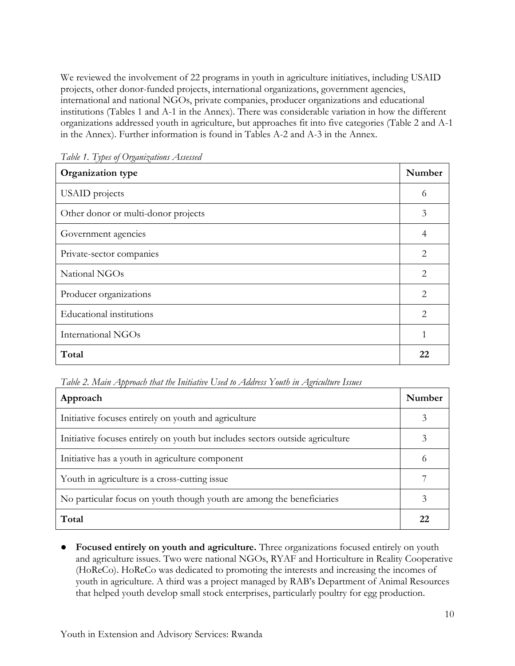We reviewed the involvement of 22 programs in youth in agriculture initiatives, including USAID projects, other donor-funded projects, international organizations, government agencies, international and national NGOs, private companies, producer organizations and educational institutions (Tables 1 and A-1 in the Annex). There was considerable variation in how the different organizations addressed youth in agriculture, but approaches fit into five categories (Table 2 and A-1 in the Annex). Further information is found in Tables A-2 and A-3 in the Annex.

| Organization type                   | Number |
|-------------------------------------|--------|
| <b>USAID</b> projects               | 6      |
| Other donor or multi-donor projects | 3      |
| Government agencies                 | 4      |
| Private-sector companies            | 2      |
| National NGOs                       | 2      |
| Producer organizations              | 2      |
| Educational institutions            | 2      |
| International NGOs                  |        |
| Total                               | 22     |

*Table 1. Types of Organizations Assessed*

*Table 2. Main Approach that the Initiative Used to Address Youth in Agriculture Issues*

| Approach                                                                      | Number   |
|-------------------------------------------------------------------------------|----------|
| Initiative focuses entirely on youth and agriculture                          | 3        |
| Initiative focuses entirely on youth but includes sectors outside agriculture | 3        |
| Initiative has a youth in agriculture component                               | $^{(1)}$ |
| Youth in agriculture is a cross-cutting issue                                 |          |
| No particular focus on youth though youth are among the beneficiaries         | 3        |
| Total                                                                         | 22       |

● **Focused entirely on youth and agriculture.** Three organizations focused entirely on youth and agriculture issues. Two were national NGOs, RYAF and Horticulture in Reality Cooperative (HoReCo). HoReCo was dedicated to promoting the interests and increasing the incomes of youth in agriculture. A third was a project managed by RAB's Department of Animal Resources that helped youth develop small stock enterprises, particularly poultry for egg production.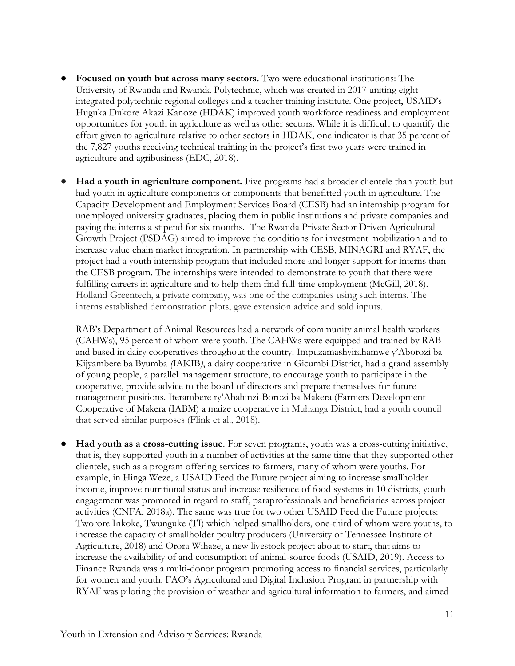- **Focused on youth but across many sectors.** Two were educational institutions: The University of Rwanda and Rwanda Polytechnic, which was created in 2017 uniting eight integrated polytechnic regional colleges and a teacher training institute. One project, USAID's Huguka Dukore Akazi Kanoze (HDAK) improved youth workforce readiness and employment opportunities for youth in agriculture as well as other sectors. While it is difficult to quantify the effort given to agriculture relative to other sectors in HDAK, one indicator is that 35 percent of the 7,827 youths receiving technical training in the project's first two years were trained in agriculture and agribusiness (EDC, 2018).
- **Had a youth in agriculture component.** Five programs had a broader clientele than youth but had youth in agriculture components or components that benefitted youth in agriculture. The Capacity Development and Employment Services Board (CESB) had an internship program for unemployed university graduates, placing them in public institutions and private companies and paying the interns a stipend for six months. The Rwanda Private Sector Driven Agricultural Growth Project (PSDAG) aimed to improve the conditions for investment mobilization and to increase value chain market integration. In partnership with CESB, MINAGRI and RYAF, the project had a youth internship program that included more and longer support for interns than the CESB program. The internships were intended to demonstrate to youth that there were fulfilling careers in agriculture and to help them find full-time employment (McGill, 2018). Holland Greentech, a private company, was one of the companies using such interns. The interns established demonstration plots, gave extension advice and sold inputs.

RAB's Department of Animal Resources had a network of community animal health workers (CAHWs), 95 percent of whom were youth. The CAHWs were equipped and trained by RAB and based in dairy cooperatives throughout the country. Impuzamashyirahamwe y'Aborozi ba Kijyambere ba Byumba *(*IAKIB*)*, a dairy cooperative in Gicumbi District, had a grand assembly of young people, a parallel management structure, to encourage youth to participate in the cooperative, provide advice to the board of directors and prepare themselves for future management positions. Iterambere ry'Abahinzi-Borozi ba Makera (Farmers Development Cooperative of Makera (IABM) a maize cooperative in Muhanga District, had a youth council that served similar purposes (Flink et al., 2018).

● **Had youth as a cross-cutting issue**. For seven programs, youth was a cross-cutting initiative, that is, they supported youth in a number of activities at the same time that they supported other clientele, such as a program offering services to farmers, many of whom were youths. For example, in Hinga Weze, a USAID Feed the Future project aiming to increase smallholder income, improve nutritional status and increase resilience of food systems in 10 districts, youth engagement was promoted in regard to staff, paraprofessionals and beneficiaries across project activities (CNFA, 2018a). The same was true for two other USAID Feed the Future projects: Tworore Inkoke, Twunguke (TI) which helped smallholders, one-third of whom were youths, to increase the capacity of smallholder poultry producers (University of Tennessee Institute of Agriculture, 2018) and Orora Wihaze, a new livestock project about to start, that aims to increase the availability of and consumption of animal-source foods (USAID, 2019). Access to Finance Rwanda was a multi-donor program promoting access to financial services, particularly for women and youth. FAO's Agricultural and Digital Inclusion Program in partnership with RYAF was piloting the provision of weather and agricultural information to farmers, and aimed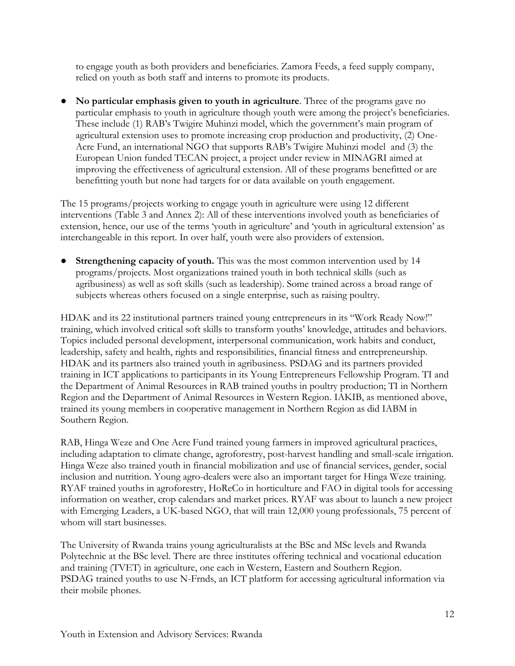to engage youth as both providers and beneficiaries. Zamora Feeds, a feed supply company, relied on youth as both staff and interns to promote its products.

● **No particular emphasis given to youth in agriculture**. Three of the programs gave no particular emphasis to youth in agriculture though youth were among the project's beneficiaries. These include (1) RAB's Twigire Muhinzi model, which the government's main program of agricultural extension uses to promote increasing crop production and productivity, (2) One-Acre Fund, an international NGO that supports RAB's Twigire Muhinzi model and (3) the European Union funded TECAN project, a project under review in MINAGRI aimed at improving the effectiveness of agricultural extension. All of these programs benefitted or are benefitting youth but none had targets for or data available on youth engagement.

The 15 programs/projects working to engage youth in agriculture were using 12 different interventions (Table 3 and Annex 2): All of these interventions involved youth as beneficiaries of extension, hence, our use of the terms 'youth in agriculture' and 'youth in agricultural extension' as interchangeable in this report. In over half, youth were also providers of extension.

● **Strengthening capacity of youth.** This was the most common intervention used by 14 programs/projects. Most organizations trained youth in both technical skills (such as agribusiness) as well as soft skills (such as leadership). Some trained across a broad range of subjects whereas others focused on a single enterprise, such as raising poultry.

HDAK and its 22 institutional partners trained young entrepreneurs in its "Work Ready Now!" training, which involved critical soft skills to transform youths' knowledge, attitudes and behaviors. Topics included personal development, interpersonal communication, work habits and conduct, leadership, safety and health, rights and responsibilities, financial fitness and entrepreneurship. HDAK and its partners also trained youth in agribusiness. PSDAG and its partners provided training in ICT applications to participants in its Young Entrepreneurs Fellowship Program. TI and the Department of Animal Resources in RAB trained youths in poultry production; TI in Northern Region and the Department of Animal Resources in Western Region. IAKIB, as mentioned above, trained its young members in cooperative management in Northern Region as did IABM in Southern Region.

RAB, Hinga Weze and One Acre Fund trained young farmers in improved agricultural practices, including adaptation to climate change, agroforestry, post-harvest handling and small-scale irrigation. Hinga Weze also trained youth in financial mobilization and use of financial services, gender, social inclusion and nutrition. Young agro-dealers were also an important target for Hinga Weze training. RYAF trained youths in agroforestry, HoReCo in horticulture and FAO in digital tools for accessing information on weather, crop calendars and market prices. RYAF was about to launch a new project with Emerging Leaders, a UK-based NGO, that will train 12,000 young professionals, 75 percent of whom will start businesses.

The University of Rwanda trains young agriculturalists at the BSc and MSc levels and Rwanda Polytechnic at the BSc level. There are three institutes offering technical and vocational education and training (TVET) in agriculture, one each in Western, Eastern and Southern Region. PSDAG trained youths to use N-Frnds, an ICT platform for accessing agricultural information via their mobile phones.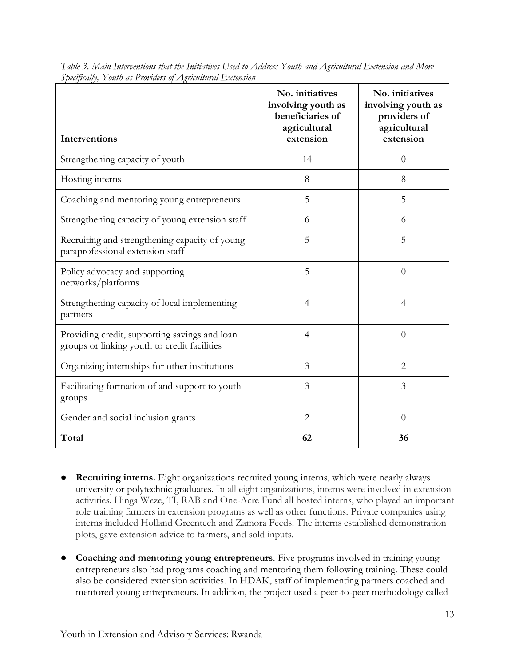| Interventions                                                                                 | No. initiatives<br>involving youth as<br>beneficiaries of<br>agricultural<br>extension | No. initiatives<br>involving youth as<br>providers of<br>agricultural<br>extension |
|-----------------------------------------------------------------------------------------------|----------------------------------------------------------------------------------------|------------------------------------------------------------------------------------|
| Strengthening capacity of youth                                                               | 14                                                                                     | $\overline{0}$                                                                     |
| Hosting interns                                                                               | 8                                                                                      | 8                                                                                  |
| Coaching and mentoring young entrepreneurs                                                    | 5                                                                                      | 5                                                                                  |
| Strengthening capacity of young extension staff                                               | 6                                                                                      | 6                                                                                  |
| Recruiting and strengthening capacity of young<br>paraprofessional extension staff            | 5                                                                                      | 5                                                                                  |
| Policy advocacy and supporting<br>networks/platforms                                          | 5                                                                                      | $\theta$                                                                           |
| Strengthening capacity of local implementing<br>partners                                      | 4                                                                                      | 4                                                                                  |
| Providing credit, supporting savings and loan<br>groups or linking youth to credit facilities | 4                                                                                      | $\overline{0}$                                                                     |
| Organizing internships for other institutions                                                 | 3                                                                                      | $\overline{2}$                                                                     |
| Facilitating formation of and support to youth<br>groups                                      | 3                                                                                      | 3                                                                                  |
| Gender and social inclusion grants                                                            | $\overline{2}$                                                                         | $\overline{0}$                                                                     |
| Total                                                                                         | 62                                                                                     | 36                                                                                 |

*Table 3. Main Interventions that the Initiatives Used to Address Youth and Agricultural Extension and More Specifically, Youth as Providers of Agricultural Extension*

- **Recruiting interns.** Eight organizations recruited young interns, which were nearly always university or polytechnic graduates. In all eight organizations, interns were involved in extension activities. Hinga Weze, TI, RAB and One-Acre Fund all hosted interns, who played an important role training farmers in extension programs as well as other functions. Private companies using interns included Holland Greentech and Zamora Feeds. The interns established demonstration plots, gave extension advice to farmers, and sold inputs.
- **Coaching and mentoring young entrepreneurs**. Five programs involved in training young entrepreneurs also had programs coaching and mentoring them following training. These could also be considered extension activities. In HDAK, staff of implementing partners coached and mentored young entrepreneurs. In addition, the project used a peer-to-peer methodology called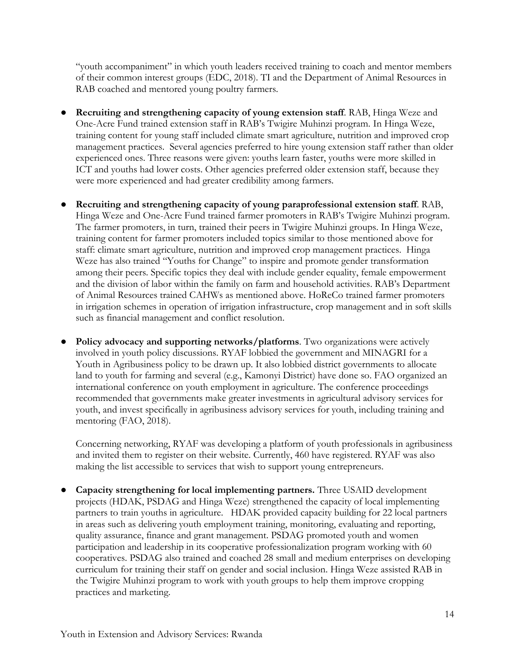"youth accompaniment" in which youth leaders received training to coach and mentor members of their common interest groups (EDC, 2018). TI and the Department of Animal Resources in RAB coached and mentored young poultry farmers.

- **Recruiting and strengthening capacity of young extension staff**. RAB, Hinga Weze and One-Acre Fund trained extension staff in RAB's Twigire Muhinzi program. In Hinga Weze, training content for young staff included climate smart agriculture, nutrition and improved crop management practices. Several agencies preferred to hire young extension staff rather than older experienced ones. Three reasons were given: youths learn faster, youths were more skilled in ICT and youths had lower costs. Other agencies preferred older extension staff, because they were more experienced and had greater credibility among farmers.
- **Recruiting and strengthening capacity of young paraprofessional extension staff**. RAB, Hinga Weze and One-Acre Fund trained farmer promoters in RAB's Twigire Muhinzi program. The farmer promoters, in turn, trained their peers in Twigire Muhinzi groups. In Hinga Weze, training content for farmer promoters included topics similar to those mentioned above for staff: climate smart agriculture, nutrition and improved crop management practices. Hinga Weze has also trained "Youths for Change" to inspire and promote gender transformation among their peers. Specific topics they deal with include gender equality, female empowerment and the division of labor within the family on farm and household activities. RAB's Department of Animal Resources trained CAHWs as mentioned above. HoReCo trained farmer promoters in irrigation schemes in operation of irrigation infrastructure, crop management and in soft skills such as financial management and conflict resolution.
- **Policy advocacy and supporting networks/platforms**. Two organizations were actively involved in youth policy discussions. RYAF lobbied the government and MINAGRI for a Youth in Agribusiness policy to be drawn up. It also lobbied district governments to allocate land to youth for farming and several (e.g., Kamonyi District) have done so. FAO organized an international conference on youth employment in agriculture. The conference proceedings recommended that governments make greater investments in agricultural advisory services for youth, and invest specifically in agribusiness advisory services for youth, including training and mentoring (FAO, 2018).

Concerning networking, RYAF was developing a platform of youth professionals in agribusiness and invited them to register on their website. Currently, 460 have registered. RYAF was also making the list accessible to services that wish to support young entrepreneurs.

● **Capacity strengthening for local implementing partners.** Three USAID development projects (HDAK, PSDAG and Hinga Weze) strengthened the capacity of local implementing partners to train youths in agriculture. HDAK provided capacity building for 22 local partners in areas such as delivering youth employment training, monitoring, evaluating and reporting, quality assurance, finance and grant management. PSDAG promoted youth and women participation and leadership in its cooperative professionalization program working with 60 cooperatives. PSDAG also trained and coached 28 small and medium enterprises on developing curriculum for training their staff on gender and social inclusion. Hinga Weze assisted RAB in the Twigire Muhinzi program to work with youth groups to help them improve cropping practices and marketing.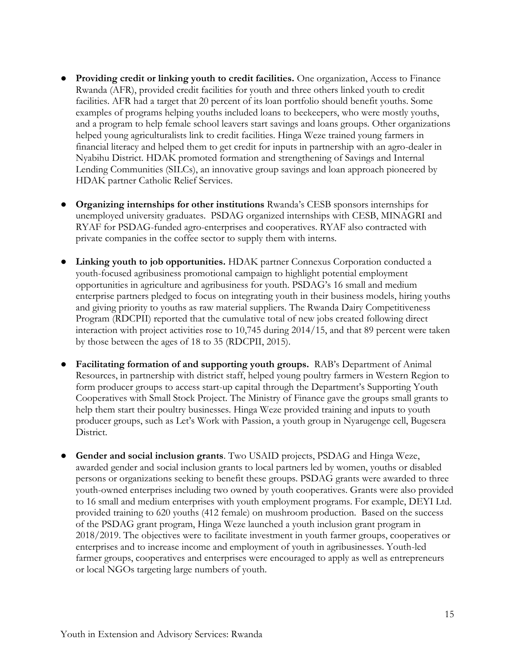- **Providing credit or linking youth to credit facilities.** One organization, Access to Finance Rwanda (AFR), provided credit facilities for youth and three others linked youth to credit facilities. AFR had a target that 20 percent of its loan portfolio should benefit youths. Some examples of programs helping youths included loans to beekeepers, who were mostly youths, and a program to help female school leavers start savings and loans groups. Other organizations helped young agriculturalists link to credit facilities. Hinga Weze trained young farmers in financial literacy and helped them to get credit for inputs in partnership with an agro-dealer in Nyabihu District. HDAK promoted formation and strengthening of Savings and Internal Lending Communities (SILCs), an innovative group savings and loan approach pioneered by HDAK partner Catholic Relief Services.
- **Organizing internships for other institutions** Rwanda's CESB sponsors internships for unemployed university graduates. PSDAG organized internships with CESB, MINAGRI and RYAF for PSDAG-funded agro-enterprises and cooperatives. RYAF also contracted with private companies in the coffee sector to supply them with interns.
- **Linking youth to job opportunities.** HDAK partner Connexus Corporation conducted a youth-focused agribusiness promotional campaign to highlight potential employment opportunities in agriculture and agribusiness for youth. PSDAG's 16 small and medium enterprise partners pledged to focus on integrating youth in their business models, hiring youths and giving priority to youths as raw material suppliers. The Rwanda Dairy Competitiveness Program (RDCPII) reported that the cumulative total of new jobs created following direct interaction with project activities rose to 10,745 during 2014/15, and that 89 percent were taken by those between the ages of 18 to 35 (RDCPII, 2015).
- **Facilitating formation of and supporting youth groups.** RAB's Department of Animal Resources, in partnership with district staff, helped young poultry farmers in Western Region to form producer groups to access start-up capital through the Department's Supporting Youth Cooperatives with Small Stock Project. The Ministry of Finance gave the groups small grants to help them start their poultry businesses. Hinga Weze provided training and inputs to youth producer groups, such as Let's Work with Passion, a youth group in Nyarugenge cell, Bugesera District.
- **Gender and social inclusion grants**. Two USAID projects, PSDAG and Hinga Weze, awarded gender and social inclusion grants to local partners led by women, youths or disabled persons or organizations seeking to benefit these groups. PSDAG grants were awarded to three youth-owned enterprises including two owned by youth cooperatives. Grants were also provided to 16 small and medium enterprises with youth employment programs. For example, DEYI Ltd. provided training to 620 youths (412 female) on mushroom production. Based on the success of the PSDAG grant program, Hinga Weze launched a youth inclusion grant program in 2018/2019. The objectives were to facilitate investment in youth farmer groups, cooperatives or enterprises and to increase income and employment of youth in agribusinesses. Youth-led farmer groups, cooperatives and enterprises were encouraged to apply as well as entrepreneurs or local NGOs targeting large numbers of youth.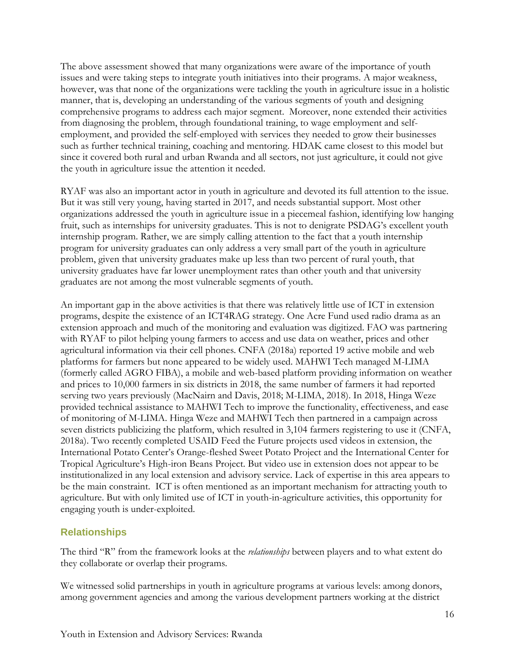The above assessment showed that many organizations were aware of the importance of youth issues and were taking steps to integrate youth initiatives into their programs. A major weakness, however, was that none of the organizations were tackling the youth in agriculture issue in a holistic manner, that is, developing an understanding of the various segments of youth and designing comprehensive programs to address each major segment. Moreover, none extended their activities from diagnosing the problem, through foundational training, to wage employment and selfemployment, and provided the self-employed with services they needed to grow their businesses such as further technical training, coaching and mentoring. HDAK came closest to this model but since it covered both rural and urban Rwanda and all sectors, not just agriculture, it could not give the youth in agriculture issue the attention it needed.

RYAF was also an important actor in youth in agriculture and devoted its full attention to the issue. But it was still very young, having started in 2017, and needs substantial support. Most other organizations addressed the youth in agriculture issue in a piecemeal fashion, identifying low hanging fruit, such as internships for university graduates. This is not to denigrate PSDAG's excellent youth internship program. Rather, we are simply calling attention to the fact that a youth internship program for university graduates can only address a very small part of the youth in agriculture problem, given that university graduates make up less than two percent of rural youth, that university graduates have far lower unemployment rates than other youth and that university graduates are not among the most vulnerable segments of youth.

An important gap in the above activities is that there was relatively little use of ICT in extension programs, despite the existence of an ICT4RAG strategy. One Acre Fund used radio drama as an extension approach and much of the monitoring and evaluation was digitized. FAO was partnering with RYAF to pilot helping young farmers to access and use data on weather, prices and other agricultural information via their cell phones. CNFA (2018a) reported 19 active mobile and web platforms for farmers but none appeared to be widely used. MAHWI Tech managed M-LIMA (formerly called AGRO FIBA), a mobile and web-based platform providing information on weather and prices to 10,000 farmers in six districts in 2018, the same number of farmers it had reported serving two years previously (MacNairn and Davis, 2018; M-LIMA, 2018). In 2018, Hinga Weze provided technical assistance to MAHWI Tech to improve the functionality, effectiveness, and ease of monitoring of M-LIMA. Hinga Weze and MAHWI Tech then partnered in a campaign across seven districts publicizing the platform, which resulted in 3,104 farmers registering to use it (CNFA, 2018a). Two recently completed USAID Feed the Future projects used videos in extension, the International Potato Center's Orange-fleshed Sweet Potato Project and the International Center for Tropical Agriculture's High-iron Beans Project. But video use in extension does not appear to be institutionalized in any local extension and advisory service. Lack of expertise in this area appears to be the main constraint. ICT is often mentioned as an important mechanism for attracting youth to agriculture. But with only limited use of ICT in youth-in-agriculture activities, this opportunity for engaging youth is under-exploited.

#### <span id="page-15-0"></span>**Relationships**

The third "R" from the framework looks at the *relationships* between players and to what extent do they collaborate or overlap their programs.

We witnessed solid partnerships in youth in agriculture programs at various levels: among donors, among government agencies and among the various development partners working at the district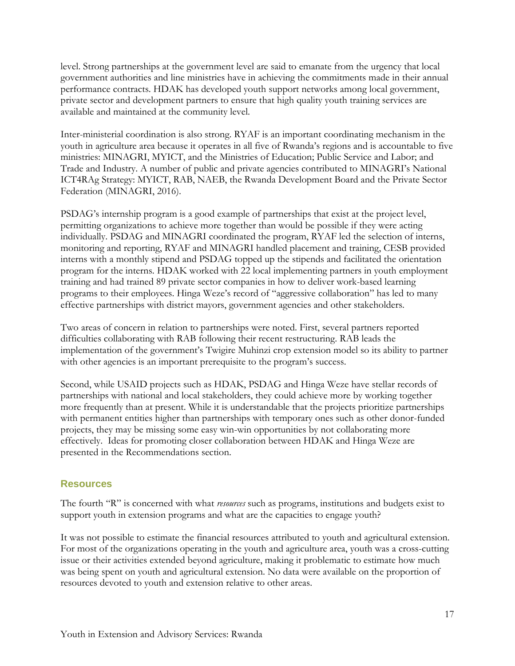level. Strong partnerships at the government level are said to emanate from the urgency that local government authorities and line ministries have in achieving the commitments made in their annual performance contracts. HDAK has developed youth support networks among local government, private sector and development partners to ensure that high quality youth training services are available and maintained at the community level.

Inter-ministerial coordination is also strong. RYAF is an important coordinating mechanism in the youth in agriculture area because it operates in all five of Rwanda's regions and is accountable to five ministries: MINAGRI, MYICT, and the Ministries of Education; Public Service and Labor; and Trade and Industry. A number of public and private agencies contributed to MINAGRI's National ICT4RAg Strategy: MYICT, RAB, NAEB, the Rwanda Development Board and the Private Sector Federation (MINAGRI, 2016).

PSDAG's internship program is a good example of partnerships that exist at the project level, permitting organizations to achieve more together than would be possible if they were acting individually. PSDAG and MINAGRI coordinated the program, RYAF led the selection of interns, monitoring and reporting, RYAF and MINAGRI handled placement and training, CESB provided interns with a monthly stipend and PSDAG topped up the stipends and facilitated the orientation program for the interns. HDAK worked with 22 local implementing partners in youth employment training and had trained 89 private sector companies in how to deliver work-based learning programs to their employees. Hinga Weze's record of "aggressive collaboration" has led to many effective partnerships with district mayors, government agencies and other stakeholders.

Two areas of concern in relation to partnerships were noted. First, several partners reported difficulties collaborating with RAB following their recent restructuring. RAB leads the implementation of the government's Twigire Muhinzi crop extension model so its ability to partner with other agencies is an important prerequisite to the program's success.

Second, while USAID projects such as HDAK, PSDAG and Hinga Weze have stellar records of partnerships with national and local stakeholders, they could achieve more by working together more frequently than at present. While it is understandable that the projects prioritize partnerships with permanent entities higher than partnerships with temporary ones such as other donor-funded projects, they may be missing some easy win-win opportunities by not collaborating more effectively. Ideas for promoting closer collaboration between HDAK and Hinga Weze are presented in the Recommendations section.

#### <span id="page-16-0"></span>**Resources**

The fourth "R" is concerned with what *resources* such as programs, institutions and budgets exist to support youth in extension programs and what are the capacities to engage youth?

It was not possible to estimate the financial resources attributed to youth and agricultural extension. For most of the organizations operating in the youth and agriculture area, youth was a cross-cutting issue or their activities extended beyond agriculture, making it problematic to estimate how much was being spent on youth and agricultural extension. No data were available on the proportion of resources devoted to youth and extension relative to other areas.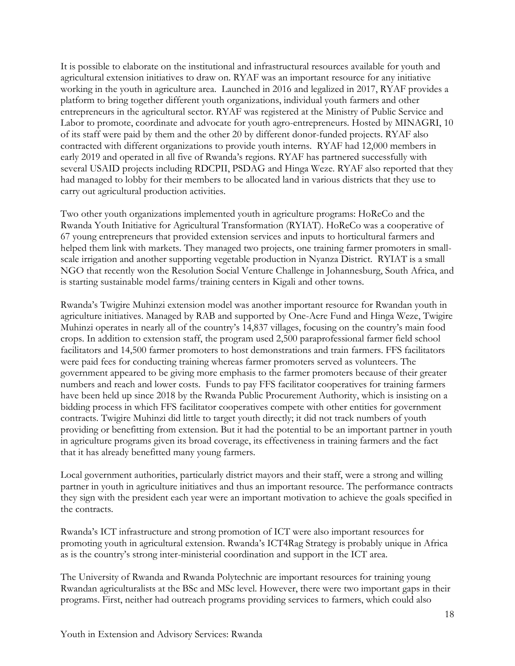It is possible to elaborate on the institutional and infrastructural resources available for youth and agricultural extension initiatives to draw on. RYAF was an important resource for any initiative working in the youth in agriculture area. Launched in 2016 and legalized in 2017, RYAF provides a platform to bring together different youth organizations, individual youth farmers and other entrepreneurs in the agricultural sector. RYAF was registered at the Ministry of Public Service and Labor to promote, coordinate and advocate for youth agro-entrepreneurs. Hosted by MINAGRI, 10 of its staff were paid by them and the other 20 by different donor-funded projects. RYAF also contracted with different organizations to provide youth interns. RYAF had 12,000 members in early 2019 and operated in all five of Rwanda's regions. RYAF has partnered successfully with several USAID projects including RDCPII, PSDAG and Hinga Weze. RYAF also reported that they had managed to lobby for their members to be allocated land in various districts that they use to carry out agricultural production activities.

Two other youth organizations implemented youth in agriculture programs: HoReCo and the Rwanda Youth Initiative for Agricultural Transformation (RYIAT). HoReCo was a cooperative of 67 young entrepreneurs that provided extension services and inputs to horticultural farmers and helped them link with markets. They managed two projects, one training farmer promoters in smallscale irrigation and another supporting vegetable production in Nyanza District. RYIAT is a small NGO that recently won the Resolution Social Venture Challenge in Johannesburg, South Africa, and is starting sustainable model farms/training centers in Kigali and other towns.

Rwanda's Twigire Muhinzi extension model was another important resource for Rwandan youth in agriculture initiatives. Managed by RAB and supported by One-Acre Fund and Hinga Weze, Twigire Muhinzi operates in nearly all of the country's 14,837 villages, focusing on the country's main food crops. In addition to extension staff, the program used 2,500 paraprofessional farmer field school facilitators and 14,500 farmer promoters to host demonstrations and train farmers. FFS facilitators were paid fees for conducting training whereas farmer promoters served as volunteers. The government appeared to be giving more emphasis to the farmer promoters because of their greater numbers and reach and lower costs. Funds to pay FFS facilitator cooperatives for training farmers have been held up since 2018 by the Rwanda Public Procurement Authority, which is insisting on a bidding process in which FFS facilitator cooperatives compete with other entities for government contracts. Twigire Muhinzi did little to target youth directly; it did not track numbers of youth providing or benefitting from extension. But it had the potential to be an important partner in youth in agriculture programs given its broad coverage, its effectiveness in training farmers and the fact that it has already benefitted many young farmers.

Local government authorities, particularly district mayors and their staff, were a strong and willing partner in youth in agriculture initiatives and thus an important resource. The performance contracts they sign with the president each year were an important motivation to achieve the goals specified in the contracts.

Rwanda's ICT infrastructure and strong promotion of ICT were also important resources for promoting youth in agricultural extension. Rwanda's ICT4Rag Strategy is probably unique in Africa as is the country's strong inter-ministerial coordination and support in the ICT area.

The University of Rwanda and Rwanda Polytechnic are important resources for training young Rwandan agriculturalists at the BSc and MSc level. However, there were two important gaps in their programs. First, neither had outreach programs providing services to farmers, which could also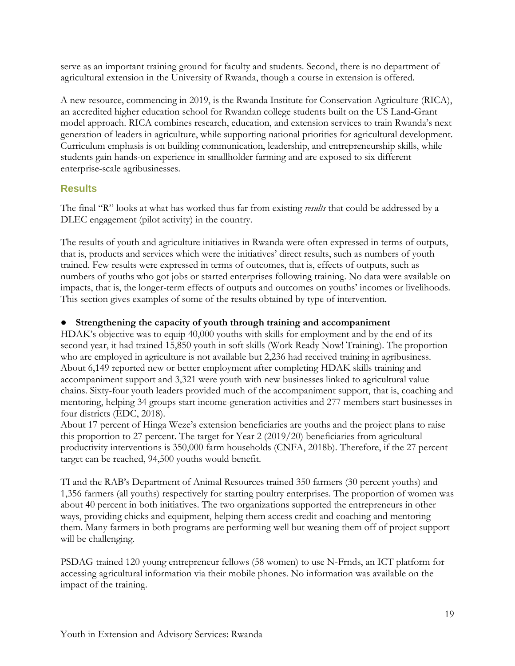serve as an important training ground for faculty and students. Second, there is no department of agricultural extension in the University of Rwanda, though a course in extension is offered.

A new resource, commencing in 2019, is the Rwanda Institute for Conservation Agriculture (RICA), an accredited higher education school for Rwandan college students built on the US Land-Grant model approach. RICA combines research, education, and extension services to train Rwanda's next generation of leaders in agriculture, while supporting national priorities for agricultural development. Curriculum emphasis is on building communication, leadership, and entrepreneurship skills, while students gain hands-on experience in smallholder farming and are exposed to six different enterprise-scale agribusinesses.

#### <span id="page-18-0"></span>**Results**

The final "R" looks at what has worked thus far from existing *results* that could be addressed by a DLEC engagement (pilot activity) in the country.

The results of youth and agriculture initiatives in Rwanda were often expressed in terms of outputs, that is, products and services which were the initiatives' direct results, such as numbers of youth trained. Few results were expressed in terms of outcomes, that is, effects of outputs, such as numbers of youths who got jobs or started enterprises following training. No data were available on impacts, that is, the longer-term effects of outputs and outcomes on youths' incomes or livelihoods. This section gives examples of some of the results obtained by type of intervention.

#### ● **Strengthening the capacity of youth through training and accompaniment**

HDAK's objective was to equip 40,000 youths with skills for employment and by the end of its second year, it had trained 15,850 youth in soft skills (Work Ready Now! Training). The proportion who are employed in agriculture is not available but 2,236 had received training in agribusiness. About 6,149 reported new or better employment after completing HDAK skills training and accompaniment support and 3,321 were youth with new businesses linked to agricultural value chains. Sixty-four youth leaders provided much of the accompaniment support, that is, coaching and mentoring, helping 34 groups start income-generation activities and 277 members start businesses in four districts (EDC, 2018).

About 17 percent of Hinga Weze's extension beneficiaries are youths and the project plans to raise this proportion to 27 percent. The target for Year 2 (2019/20) beneficiaries from agricultural productivity interventions is 350,000 farm households (CNFA, 2018b). Therefore, if the 27 percent target can be reached, 94,500 youths would benefit.

TI and the RAB's Department of Animal Resources trained 350 farmers (30 percent youths) and 1,356 farmers (all youths) respectively for starting poultry enterprises. The proportion of women was about 40 percent in both initiatives. The two organizations supported the entrepreneurs in other ways, providing chicks and equipment, helping them access credit and coaching and mentoring them. Many farmers in both programs are performing well but weaning them off of project support will be challenging.

PSDAG trained 120 young entrepreneur fellows (58 women) to use N-Frnds, an ICT platform for accessing agricultural information via their mobile phones. No information was available on the impact of the training.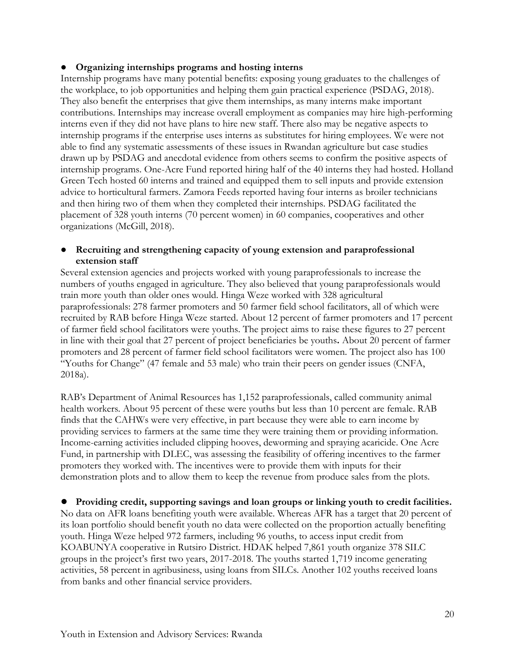#### ● **Organizing internships programs and hosting interns**

Internship programs have many potential benefits: exposing young graduates to the challenges of the workplace, to job opportunities and helping them gain practical experience (PSDAG, 2018). They also benefit the enterprises that give them internships, as many interns make important contributions. Internships may increase overall employment as companies may hire high-performing interns even if they did not have plans to hire new staff. There also may be negative aspects to internship programs if the enterprise uses interns as substitutes for hiring employees. We were not able to find any systematic assessments of these issues in Rwandan agriculture but case studies drawn up by PSDAG and anecdotal evidence from others seems to confirm the positive aspects of internship programs. One-Acre Fund reported hiring half of the 40 interns they had hosted. Holland Green Tech hosted 60 interns and trained and equipped them to sell inputs and provide extension advice to horticultural farmers. Zamora Feeds reported having four interns as broiler technicians and then hiring two of them when they completed their internships. PSDAG facilitated the placement of 328 youth interns (70 percent women) in 60 companies, cooperatives and other organizations (McGill, 2018).

#### Recruiting and strengthening capacity of young extension and paraprofessional **extension staff**

Several extension agencies and projects worked with young paraprofessionals to increase the numbers of youths engaged in agriculture. They also believed that young paraprofessionals would train more youth than older ones would. Hinga Weze worked with 328 agricultural paraprofessionals: 278 farmer promoters and 50 farmer field school facilitators, all of which were recruited by RAB before Hinga Weze started. About 12 percent of farmer promoters and 17 percent of farmer field school facilitators were youths. The project aims to raise these figures to 27 percent in line with their goal that 27 percent of project beneficiaries be youths**.** About 20 percent of farmer promoters and 28 percent of farmer field school facilitators were women. The project also has 100 "Youths for Change" (47 female and 53 male) who train their peers on gender issues (CNFA, 2018a).

RAB's Department of Animal Resources has 1,152 paraprofessionals, called community animal health workers. About 95 percent of these were youths but less than 10 percent are female. RAB finds that the CAHWs were very effective, in part because they were able to earn income by providing services to farmers at the same time they were training them or providing information. Income-earning activities included clipping hooves, deworming and spraying acaricide. One Acre Fund, in partnership with DLEC, was assessing the feasibility of offering incentives to the farmer promoters they worked with. The incentives were to provide them with inputs for their demonstration plots and to allow them to keep the revenue from produce sales from the plots.

● **Providing credit, supporting savings and loan groups or linking youth to credit facilities.**  No data on AFR loans benefiting youth were available. Whereas AFR has a target that 20 percent of its loan portfolio should benefit youth no data were collected on the proportion actually benefiting youth. Hinga Weze helped 972 farmers, including 96 youths, to access input credit from KOABUNYA cooperative in Rutsiro District. HDAK helped 7,861 youth organize 378 SILC groups in the project's first two years, 2017-2018. The youths started 1,719 income generating activities, 58 percent in agribusiness, using loans from SILCs. Another 102 youths received loans from banks and other financial service providers.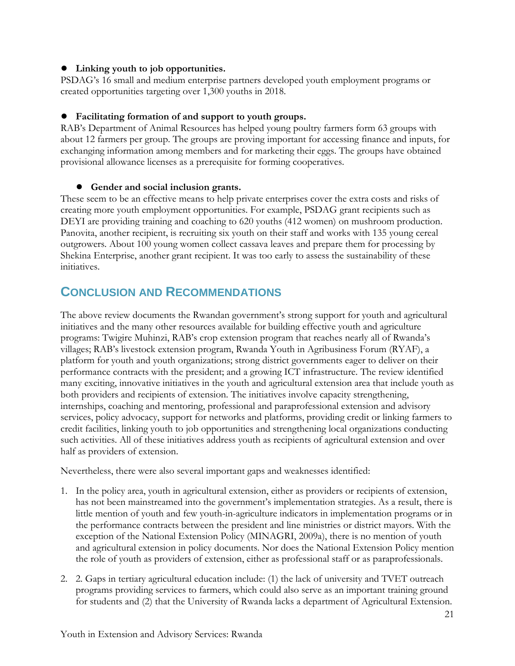#### ● **Linking youth to job opportunities.**

PSDAG's 16 small and medium enterprise partners developed youth employment programs or created opportunities targeting over 1,300 youths in 2018.

#### ● **Facilitating formation of and support to youth groups.**

RAB's Department of Animal Resources has helped young poultry farmers form 63 groups with about 12 farmers per group. The groups are proving important for accessing finance and inputs, for exchanging information among members and for marketing their eggs. The groups have obtained provisional allowance licenses as a prerequisite for forming cooperatives.

#### ● **Gender and social inclusion grants.**

These seem to be an effective means to help private enterprises cover the extra costs and risks of creating more youth employment opportunities. For example, PSDAG grant recipients such as DEYI are providing training and coaching to 620 youths (412 women) on mushroom production. Panovita, another recipient, is recruiting six youth on their staff and works with 135 young cereal outgrowers. About 100 young women collect cassava leaves and prepare them for processing by Shekina Enterprise, another grant recipient. It was too early to assess the sustainability of these initiatives.

### <span id="page-20-0"></span>**CONCLUSION AND RECOMMENDATIONS**

The above review documents the Rwandan government's strong support for youth and agricultural initiatives and the many other resources available for building effective youth and agriculture programs: Twigire Muhinzi, RAB's crop extension program that reaches nearly all of Rwanda's villages; RAB's livestock extension program, Rwanda Youth in Agribusiness Forum (RYAF), a platform for youth and youth organizations; strong district governments eager to deliver on their performance contracts with the president; and a growing ICT infrastructure. The review identified many exciting, innovative initiatives in the youth and agricultural extension area that include youth as both providers and recipients of extension. The initiatives involve capacity strengthening, internships, coaching and mentoring, professional and paraprofessional extension and advisory services, policy advocacy, support for networks and platforms, providing credit or linking farmers to credit facilities, linking youth to job opportunities and strengthening local organizations conducting such activities. All of these initiatives address youth as recipients of agricultural extension and over half as providers of extension.

Nevertheless, there were also several important gaps and weaknesses identified:

- 1. In the policy area, youth in agricultural extension, either as providers or recipients of extension, has not been mainstreamed into the government's implementation strategies. As a result, there is little mention of youth and few youth-in-agriculture indicators in implementation programs or in the performance contracts between the president and line ministries or district mayors. With the exception of the National Extension Policy (MINAGRI, 2009a), there is no mention of youth and agricultural extension in policy documents. Nor does the National Extension Policy mention the role of youth as providers of extension, either as professional staff or as paraprofessionals.
- 2. 2. Gaps in tertiary agricultural education include: (1) the lack of university and TVET outreach programs providing services to farmers, which could also serve as an important training ground for students and (2) that the University of Rwanda lacks a department of Agricultural Extension.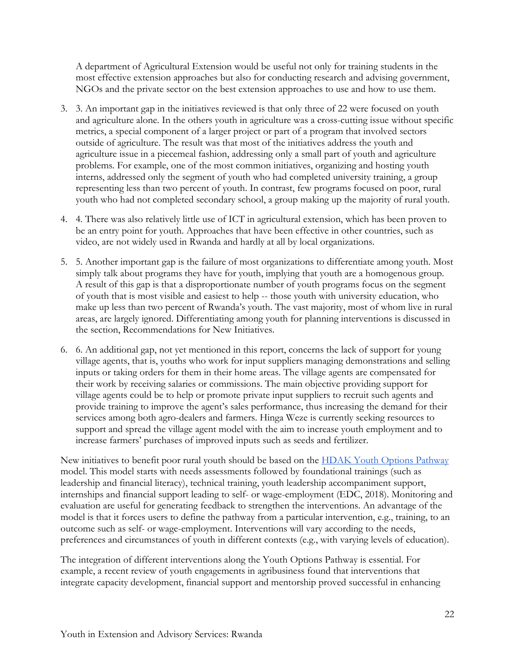A department of Agricultural Extension would be useful not only for training students in the most effective extension approaches but also for conducting research and advising government, NGOs and the private sector on the best extension approaches to use and how to use them.

- 3. 3. An important gap in the initiatives reviewed is that only three of 22 were focused on youth and agriculture alone. In the others youth in agriculture was a cross-cutting issue without specific metrics, a special component of a larger project or part of a program that involved sectors outside of agriculture. The result was that most of the initiatives address the youth and agriculture issue in a piecemeal fashion, addressing only a small part of youth and agriculture problems. For example, one of the most common initiatives, organizing and hosting youth interns, addressed only the segment of youth who had completed university training, a group representing less than two percent of youth. In contrast, few programs focused on poor, rural youth who had not completed secondary school, a group making up the majority of rural youth.
- 4. 4. There was also relatively little use of ICT in agricultural extension, which has been proven to be an entry point for youth. Approaches that have been effective in other countries, such as video, are not widely used in Rwanda and hardly at all by local organizations.
- 5. 5. Another important gap is the failure of most organizations to differentiate among youth. Most simply talk about programs they have for youth, implying that youth are a homogenous group. A result of this gap is that a disproportionate number of youth programs focus on the segment of youth that is most visible and easiest to help -- those youth with university education, who make up less than two percent of Rwanda's youth. The vast majority, most of whom live in rural areas, are largely ignored. Differentiating among youth for planning interventions is discussed in the section, Recommendations for New Initiatives.
- 6. 6. An additional gap, not yet mentioned in this report, concerns the lack of support for young village agents, that is, youths who work for input suppliers managing demonstrations and selling inputs or taking orders for them in their home areas. The village agents are compensated for their work by receiving salaries or commissions. The main objective providing support for village agents could be to help or promote private input suppliers to recruit such agents and provide training to improve the agent's sales performance, thus increasing the demand for their services among both agro-dealers and farmers. Hinga Weze is currently seeking resources to support and spread the village agent model with the aim to increase youth employment and to increase farmers' purchases of improved inputs such as seeds and fertilizer.

New initiatives to benefit poor rural youth should be based on the [HDAK Youth Options Pathway](https://www.edc.org/huguka-dukore) model. This model starts with needs assessments followed by foundational trainings (such as leadership and financial literacy), technical training, youth leadership accompaniment support, internships and financial support leading to self- or wage-employment (EDC, 2018). Monitoring and evaluation are useful for generating feedback to strengthen the interventions. An advantage of the model is that it forces users to define the pathway from a particular intervention, e.g., training, to an outcome such as self- or wage-employment. Interventions will vary according to the needs, preferences and circumstances of youth in different contexts (e.g., with varying levels of education).

The integration of different interventions along the Youth Options Pathway is essential. For example, a recent review of youth engagements in agribusiness found that interventions that integrate capacity development, financial support and mentorship proved successful in enhancing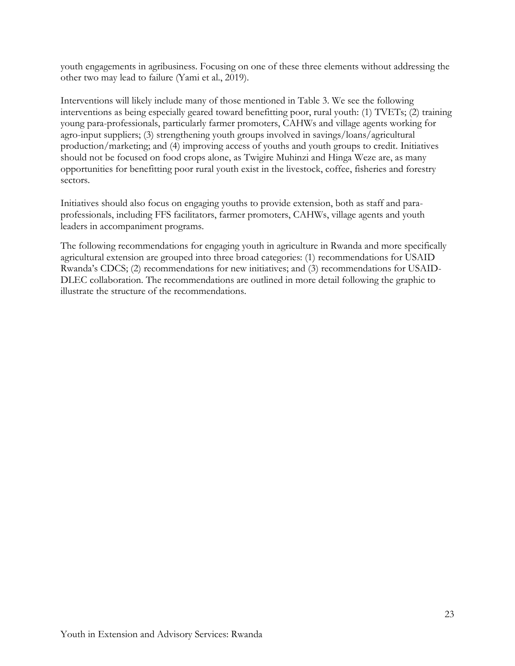youth engagements in agribusiness. Focusing on one of these three elements without addressing the other two may lead to failure (Yami et al., 2019).

Interventions will likely include many of those mentioned in Table 3. We see the following interventions as being especially geared toward benefitting poor, rural youth: (1) TVETs; (2) training young para-professionals, particularly farmer promoters, CAHWs and village agents working for agro-input suppliers; (3) strengthening youth groups involved in savings/loans/agricultural production/marketing; and (4) improving access of youths and youth groups to credit. Initiatives should not be focused on food crops alone, as Twigire Muhinzi and Hinga Weze are, as many opportunities for benefitting poor rural youth exist in the livestock, coffee, fisheries and forestry sectors.

Initiatives should also focus on engaging youths to provide extension, both as staff and paraprofessionals, including FFS facilitators, farmer promoters, CAHWs, village agents and youth leaders in accompaniment programs.

The following recommendations for engaging youth in agriculture in Rwanda and more specifically agricultural extension are grouped into three broad categories: (1) recommendations for USAID Rwanda's CDCS; (2) recommendations for new initiatives; and (3) recommendations for USAID-DLEC collaboration. The recommendations are outlined in more detail following the graphic to illustrate the structure of the recommendations.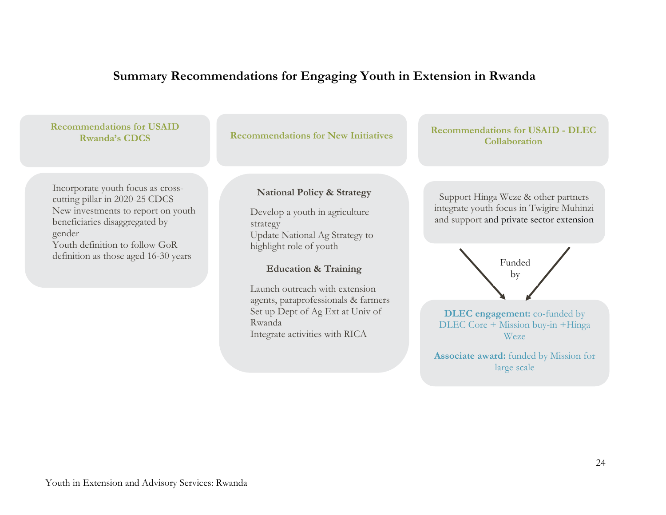# **Summary Recommendations for Engaging Youth in Extension in Rwanda**

| <b>Recommendations for USAID</b><br><b>Rwanda's CDCS</b>                                                                                                                                                                        | <b>Recommendations for New Initiatives</b>                                                                                                                                          | <b>Recommendations for USAID - DLEC</b><br><b>Collaboration</b>                                                                       |
|---------------------------------------------------------------------------------------------------------------------------------------------------------------------------------------------------------------------------------|-------------------------------------------------------------------------------------------------------------------------------------------------------------------------------------|---------------------------------------------------------------------------------------------------------------------------------------|
| Incorporate youth focus as cross-<br>cutting pillar in 2020-25 CDCS<br>New investments to report on youth<br>beneficiaries disaggregated by<br>gender<br>Youth definition to follow GoR<br>definition as those aged 16-30 years | <b>National Policy &amp; Strategy</b><br>Develop a youth in agriculture<br>strategy<br>Update National Ag Strategy to<br>highlight role of youth<br><b>Education &amp; Training</b> | Support Hinga Weze & other partners<br>integrate youth focus in Twigire Muhinzi<br>and support and private sector extension<br>Funded |

Launch outreach with extension agents, paraprofessionals & farmers Set up Dept of Ag Ext at Univ of Rwanda Integrate activities with RICA

**DLEC engagement:** co-funded by DLEC Core + Mission buy-in +Hinga Weze

**Associate award:** funded by Mission for large scale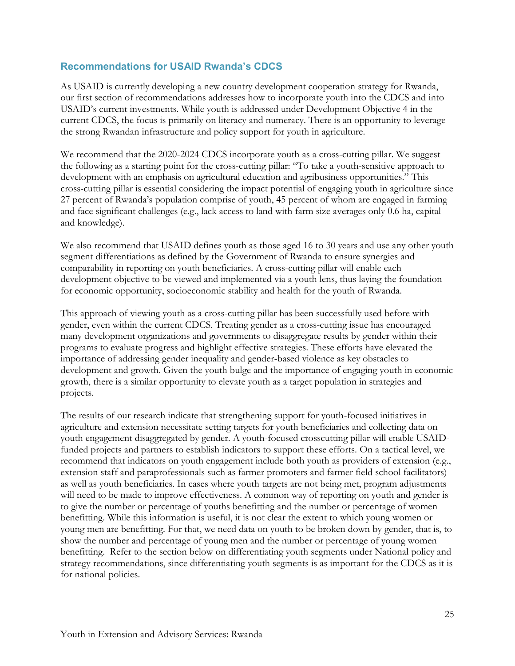#### <span id="page-24-0"></span>**Recommendations for USAID Rwanda's CDCS**

As USAID is currently developing a new country development cooperation strategy for Rwanda, our first section of recommendations addresses how to incorporate youth into the CDCS and into USAID's current investments. While youth is addressed under Development Objective 4 in the current CDCS, the focus is primarily on literacy and numeracy. There is an opportunity to leverage the strong Rwandan infrastructure and policy support for youth in agriculture.

We recommend that the 2020-2024 CDCS incorporate youth as a cross-cutting pillar. We suggest the following as a starting point for the cross-cutting pillar: "To take a youth-sensitive approach to development with an emphasis on agricultural education and agribusiness opportunities." This cross-cutting pillar is essential considering the impact potential of engaging youth in agriculture since 27 percent of Rwanda's population comprise of youth, 45 percent of whom are engaged in farming and face significant challenges (e.g., lack access to land with farm size averages only 0.6 ha, capital and knowledge).

We also recommend that USAID defines youth as those aged 16 to 30 years and use any other youth segment differentiations as defined by the Government of Rwanda to ensure synergies and comparability in reporting on youth beneficiaries. A cross-cutting pillar will enable each development objective to be viewed and implemented via a youth lens, thus laying the foundation for economic opportunity, socioeconomic stability and health for the youth of Rwanda.

This approach of viewing youth as a cross-cutting pillar has been successfully used before with gender, even within the current CDCS. Treating gender as a cross-cutting issue has encouraged many development organizations and governments to disaggregate results by gender within their programs to evaluate progress and highlight effective strategies. These efforts have elevated the importance of addressing gender inequality and gender-based violence as key obstacles to development and growth. Given the youth bulge and the importance of engaging youth in economic growth, there is a similar opportunity to elevate youth as a target population in strategies and projects.

The results of our research indicate that strengthening support for youth-focused initiatives in agriculture and extension necessitate setting targets for youth beneficiaries and collecting data on youth engagement disaggregated by gender. A youth-focused crosscutting pillar will enable USAIDfunded projects and partners to establish indicators to support these efforts. On a tactical level, we recommend that indicators on youth engagement include both youth as providers of extension (e.g., extension staff and paraprofessionals such as farmer promoters and farmer field school facilitators) as well as youth beneficiaries. In cases where youth targets are not being met, program adjustments will need to be made to improve effectiveness. A common way of reporting on youth and gender is to give the number or percentage of youths benefitting and the number or percentage of women benefitting. While this information is useful, it is not clear the extent to which young women or young men are benefitting. For that, we need data on youth to be broken down by gender, that is, to show the number and percentage of young men and the number or percentage of young women benefitting. Refer to the section below on differentiating youth segments under National policy and strategy recommendations, since differentiating youth segments is as important for the CDCS as it is for national policies.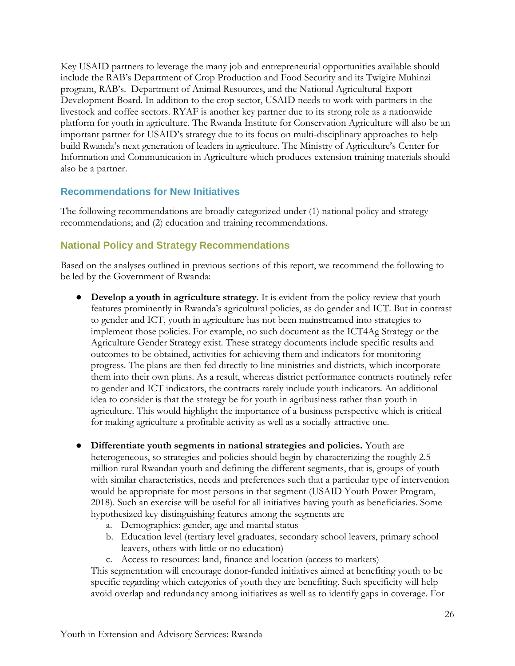Key USAID partners to leverage the many job and entrepreneurial opportunities available should include the RAB's Department of Crop Production and Food Security and its Twigire Muhinzi program, RAB's. Department of Animal Resources, and the National Agricultural Export Development Board. In addition to the crop sector, USAID needs to work with partners in the livestock and coffee sectors. RYAF is another key partner due to its strong role as a nationwide platform for youth in agriculture. The Rwanda Institute for Conservation Agriculture will also be an important partner for USAID's strategy due to its focus on multi-disciplinary approaches to help build Rwanda's next generation of leaders in agriculture. The Ministry of Agriculture's Center for Information and Communication in Agriculture which produces extension training materials should also be a partner.

#### <span id="page-25-0"></span>**Recommendations for New Initiatives**

The following recommendations are broadly categorized under (1) national policy and strategy recommendations; and (2) education and training recommendations.

#### <span id="page-25-1"></span>**National Policy and Strategy Recommendations**

Based on the analyses outlined in previous sections of this report, we recommend the following to be led by the Government of Rwanda:

- **Develop a youth in agriculture strategy**. It is evident from the policy review that youth features prominently in Rwanda's agricultural policies, as do gender and ICT. But in contrast to gender and ICT, youth in agriculture has not been mainstreamed into strategies to implement those policies. For example, no such document as the ICT4Ag Strategy or the Agriculture Gender Strategy exist. These strategy documents include specific results and outcomes to be obtained, activities for achieving them and indicators for monitoring progress. The plans are then fed directly to line ministries and districts, which incorporate them into their own plans. As a result, whereas district performance contracts routinely refer to gender and ICT indicators, the contracts rarely include youth indicators. An additional idea to consider is that the strategy be for youth in agribusiness rather than youth in agriculture. This would highlight the importance of a business perspective which is critical for making agriculture a profitable activity as well as a socially-attractive one.
- **Differentiate youth segments in national strategies and policies.** Youth are heterogeneous, so strategies and policies should begin by characterizing the roughly 2.5 million rural Rwandan youth and defining the different segments, that is, groups of youth with similar characteristics, needs and preferences such that a particular type of intervention would be appropriate for most persons in that segment (USAID Youth Power Program, 2018). Such an exercise will be useful for all initiatives having youth as beneficiaries. Some hypothesized key distinguishing features among the segments are
	- a. Demographics: gender, age and marital status
	- b. Education level (tertiary level graduates, secondary school leavers, primary school leavers, others with little or no education)
	- c. Access to resources: land, finance and location (access to markets)

This segmentation will encourage donor-funded initiatives aimed at benefiting youth to be specific regarding which categories of youth they are benefiting. Such specificity will help avoid overlap and redundancy among initiatives as well as to identify gaps in coverage. For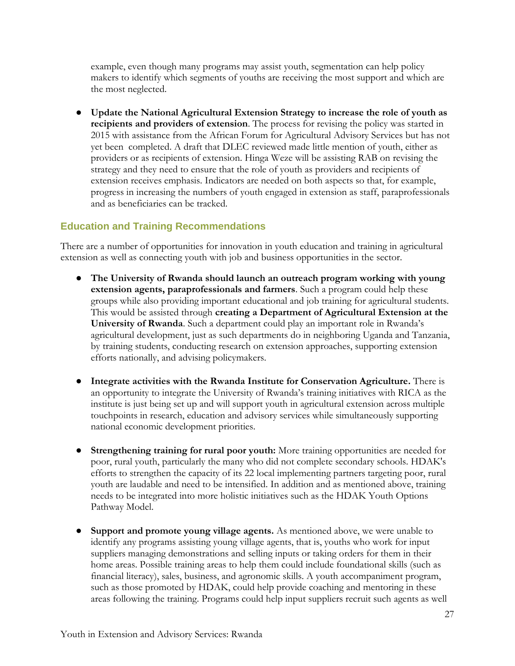example, even though many programs may assist youth, segmentation can help policy makers to identify which segments of youths are receiving the most support and which are the most neglected.

● **Update the National Agricultural Extension Strategy to increase the role of youth as recipients and providers of extension**. The process for revising the policy was started in 2015 with assistance from the African Forum for Agricultural Advisory Services but has not yet been completed. A draft that DLEC reviewed made little mention of youth, either as providers or as recipients of extension. Hinga Weze will be assisting RAB on revising the strategy and they need to ensure that the role of youth as providers and recipients of extension receives emphasis. Indicators are needed on both aspects so that, for example, progress in increasing the numbers of youth engaged in extension as staff, paraprofessionals and as beneficiaries can be tracked.

#### <span id="page-26-0"></span>**Education and Training Recommendations**

There are a number of opportunities for innovation in youth education and training in agricultural extension as well as connecting youth with job and business opportunities in the sector.

- **The University of Rwanda should launch an outreach program working with young extension agents, paraprofessionals and farmers**. Such a program could help these groups while also providing important educational and job training for agricultural students. This would be assisted through **creating a Department of Agricultural Extension at the University of Rwanda**. Such a department could play an important role in Rwanda's agricultural development, just as such departments do in neighboring Uganda and Tanzania, by training students, conducting research on extension approaches, supporting extension efforts nationally, and advising policymakers.
- **Integrate activities with the Rwanda Institute for Conservation Agriculture.** There is an opportunity to integrate the University of Rwanda's training initiatives with RICA as the institute is just being set up and will support youth in agricultural extension across multiple touchpoints in research, education and advisory services while simultaneously supporting national economic development priorities.
- **Strengthening training for rural poor youth:** More training opportunities are needed for poor, rural youth, particularly the many who did not complete secondary schools. HDAK's efforts to strengthen the capacity of its 22 local implementing partners targeting poor, rural youth are laudable and need to be intensified. In addition and as mentioned above, training needs to be integrated into more holistic initiatives such as the HDAK Youth Options Pathway Model.
- **Support and promote young village agents.** As mentioned above, we were unable to identify any programs assisting young village agents, that is, youths who work for input suppliers managing demonstrations and selling inputs or taking orders for them in their home areas. Possible training areas to help them could include foundational skills (such as financial literacy), sales, business, and agronomic skills. A youth accompaniment program, such as those promoted by HDAK, could help provide coaching and mentoring in these areas following the training. Programs could help input suppliers recruit such agents as well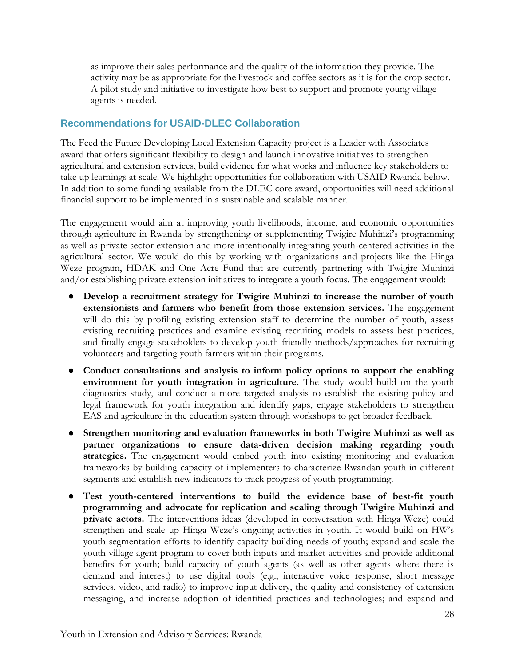as improve their sales performance and the quality of the information they provide. The activity may be as appropriate for the livestock and coffee sectors as it is for the crop sector. A pilot study and initiative to investigate how best to support and promote young village agents is needed.

#### <span id="page-27-0"></span>**Recommendations for USAID-DLEC Collaboration**

The Feed the Future Developing Local Extension Capacity project is a Leader with Associates award that offers significant flexibility to design and launch innovative initiatives to strengthen agricultural and extension services, build evidence for what works and influence key stakeholders to take up learnings at scale. We highlight opportunities for collaboration with USAID Rwanda below. In addition to some funding available from the DLEC core award, opportunities will need additional financial support to be implemented in a sustainable and scalable manner.

The engagement would aim at improving youth livelihoods, income, and economic opportunities through agriculture in Rwanda by strengthening or supplementing Twigire Muhinzi's programming as well as private sector extension and more intentionally integrating youth-centered activities in the agricultural sector. We would do this by working with organizations and projects like the Hinga Weze program, HDAK and One Acre Fund that are currently partnering with Twigire Muhinzi and/or establishing private extension initiatives to integrate a youth focus. The engagement would:

- **Develop a recruitment strategy for Twigire Muhinzi to increase the number of youth extensionists and farmers who benefit from those extension services.** The engagement will do this by profiling existing extension staff to determine the number of youth, assess existing recruiting practices and examine existing recruiting models to assess best practices, and finally engage stakeholders to develop youth friendly methods/approaches for recruiting volunteers and targeting youth farmers within their programs.
- Conduct consultations and analysis to inform policy options to support the enabling **environment for youth integration in agriculture.** The study would build on the youth diagnostics study, and conduct a more targeted analysis to establish the existing policy and legal framework for youth integration and identify gaps, engage stakeholders to strengthen EAS and agriculture in the education system through workshops to get broader feedback.
- **Strengthen monitoring and evaluation frameworks in both Twigire Muhinzi as well as partner organizations to ensure data-driven decision making regarding youth strategies.** The engagement would embed youth into existing monitoring and evaluation frameworks by building capacity of implementers to characterize Rwandan youth in different segments and establish new indicators to track progress of youth programming.
- **Test youth-centered interventions to build the evidence base of best-fit youth programming and advocate for replication and scaling through Twigire Muhinzi and private actors.** The interventions ideas (developed in conversation with Hinga Weze) could strengthen and scale up Hinga Weze's ongoing activities in youth. It would build on HW's youth segmentation efforts to identify capacity building needs of youth; expand and scale the youth village agent program to cover both inputs and market activities and provide additional benefits for youth; build capacity of youth agents (as well as other agents where there is demand and interest) to use digital tools (e.g., interactive voice response, short message services, video, and radio) to improve input delivery, the quality and consistency of extension messaging, and increase adoption of identified practices and technologies; and expand and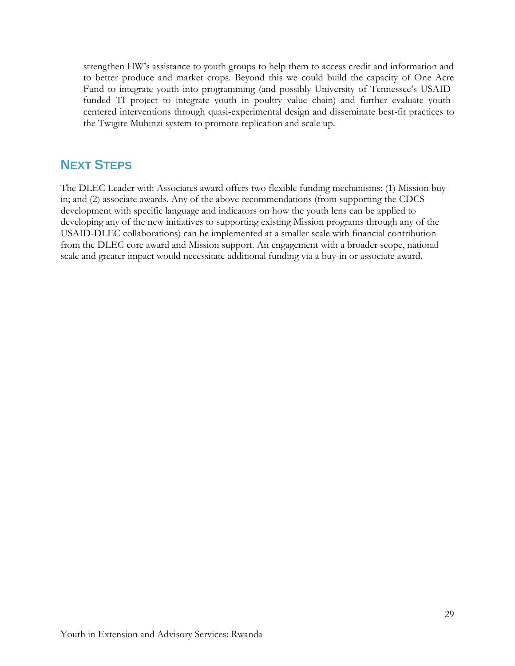strengthen HW's assistance to youth groups to help them to access credit and information and to better produce and market crops. Beyond this we could build the capacity of One Acre Fund to integrate youth into programming (and possibly University of Tennessee's USAIDfunded TI project to integrate youth in poultry value chain) and further evaluate youthcentered interventions through quasi-experimental design and disseminate best-fit practices to the Twigire Muhinzi system to promote replication and scale up.

# <span id="page-28-0"></span>**NEXT STEPS**

The DLEC Leader with Associates award offers two flexible funding mechanisms: (1) Mission buyin; and (2) associate awards. Any of the above recommendations (from supporting the CDCS development with specific language and indicators on how the youth lens can be applied to developing any of the new initiatives to supporting existing Mission programs through any of the USAID-DLEC collaborations) can be implemented at a smaller scale with financial contribution from the DLEC core award and Mission support. An engagement with a broader scope, national scale and greater impact would necessitate additional funding via a buy-in or associate award.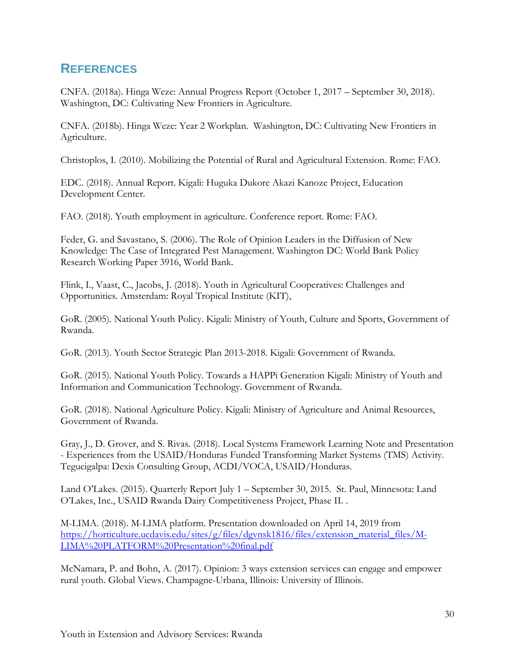# <span id="page-29-0"></span>**REFERENCES**

CNFA. (2018a). Hinga Weze: Annual Progress Report (October 1, 2017 – September 30, 2018). Washington, DC: Cultivating New Frontiers in Agriculture.

CNFA. (2018b). Hinga Weze: Year 2 Workplan. Washington, DC: Cultivating New Frontiers in Agriculture.

Christoplos, I. (2010). Mobilizing the Potential of Rural and Agricultural Extension*.* Rome: FAO.

EDC. (2018). Annual Report. Kigali: Huguka Dukore Akazi Kanoze Project, Education Development Center.

FAO. (2018). Youth employment in agriculture. Conference report. Rome: FAO.

Feder, G. and Savastano, S. (2006). The Role of Opinion Leaders in the Diffusion of New Knowledge: The Case of Integrated Pest Management. Washington DC: World Bank Policy Research Working Paper 3916, World Bank.

Flink, I., Vaast, C., Jacobs, J. (2018). Youth in Agricultural Cooperatives: Challenges and Opportunities. Amsterdam: Royal Tropical Institute (KIT),

GoR. (2005). National Youth Policy. Kigali: Ministry of Youth, Culture and Sports, Government of Rwanda.

GoR. (2013). Youth Sector Strategic Plan 2013-2018. Kigali: Government of Rwanda.

GoR. (2015). National Youth Policy. Towards a HAPPi Generation Kigali: Ministry of Youth and Information and Communication Technology. Government of Rwanda.

GoR. (2018). National Agriculture Policy. Kigali: Ministry of Agriculture and Animal Resources, Government of Rwanda.

Gray, J., D. Grover, and S. Rivas. (2018). Local Systems Framework Learning Note and Presentation - Experiences from the USAID/Honduras Funded Transforming Market Systems (TMS) Activity. Tegucigalpa: Dexis Consulting Group, ACDI/VOCA, USAID/Honduras.

Land O'Lakes. (2015). Quarterly Report July 1 – September 30, 2015. St. Paul, Minnesota: Land O'Lakes, Inc., USAID Rwanda Dairy Competitiveness Project, Phase II. .

M-LIMA. (2018). M-LIMA platform. Presentation downloaded on April 14, 2019 from [https://horticulture.ucdavis.edu/sites/g/files/dgvnsk1816/files/extension\\_material\\_files/M-](https://horticulture.ucdavis.edu/sites/g/files/dgvnsk1816/files/extension_material_files/M-LIMA%20PLATFORM%20Presentation%20final.pdf)[LIMA%20PLATFORM%20Presentation%20final.pdf](https://horticulture.ucdavis.edu/sites/g/files/dgvnsk1816/files/extension_material_files/M-LIMA%20PLATFORM%20Presentation%20final.pdf)

McNamara, P. and Bohn, A. (2017). Opinion: 3 ways extension services can engage and empower rural youth. Global Views. Champagne-Urbana, Illinois: University of Illinois.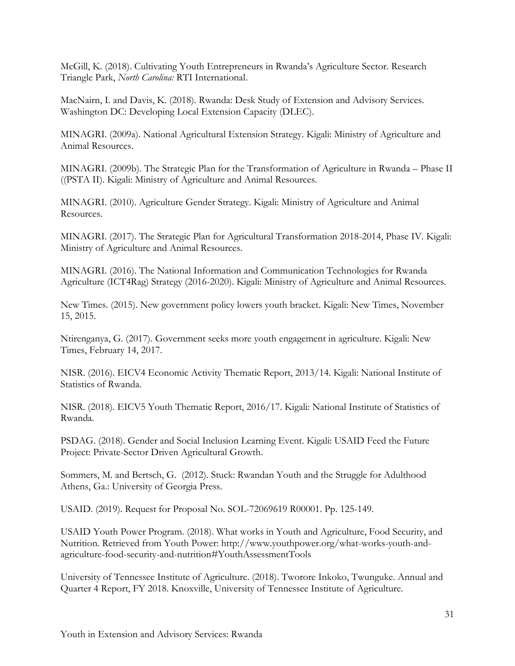McGill, K. (2018). Cultivating Youth Entrepreneurs in Rwanda's Agriculture Sector. Research Triangle Park, *North Carolina:* RTI International.

MacNairn, I. and Davis, K. (2018). Rwanda: Desk Study of Extension and Advisory Services. Washington DC: Developing Local Extension Capacity (DLEC).

MINAGRI. (2009a). National Agricultural Extension Strategy. Kigali: Ministry of Agriculture and Animal Resources.

MINAGRI. (2009b). The Strategic Plan for the Transformation of Agriculture in Rwanda – Phase II ((PSTA II). Kigali: Ministry of Agriculture and Animal Resources.

MINAGRI. (2010). Agriculture Gender Strategy. Kigali: Ministry of Agriculture and Animal Resources.

MINAGRI. (2017). The Strategic Plan for Agricultural Transformation 2018-2014, Phase IV. Kigali: Ministry of Agriculture and Animal Resources.

MINAGRI. (2016). The National Information and Communication Technologies for Rwanda Agriculture (ICT4Rag) Strategy (2016-2020). Kigali: Ministry of Agriculture and Animal Resources.

New Times. (2015). New government policy lowers youth bracket. Kigali: New Times, November 15, 2015.

Ntirenganya, G. (2017). Government seeks more youth engagement in agriculture. Kigali: New Times, February 14, 2017.

NISR. (2016). EICV4 Economic Activity Thematic Report, 2013/14. Kigali: National Institute of Statistics of Rwanda.

NISR. (2018). EICV5 Youth Thematic Report, 2016/17. Kigali: National Institute of Statistics of Rwanda.

PSDAG. (2018). Gender and Social Inclusion Learning Event. Kigali: USAID Feed the Future Project: Private-Sector Driven Agricultural Growth.

Sommers, M. and Bertsch, G. (2012). Stuck: Rwandan Youth and the Struggle for Adulthood Athens, Ga.: University of Georgia Press.

USAID. (2019). Request for Proposal No. SOL-72069619 R00001. Pp. 125-149.

USAID Youth Power Program. (2018). What works in Youth and Agriculture, Food Security, and Nutrition. Retrieved from Youth Power: http://www.youthpower.org/what-works-youth-andagriculture-food-security-and-nutrition#YouthAssessmentTools

University of Tennessee Institute of Agriculture. (2018). Tworore Inkoko, Twunguke. Annual and Quarter 4 Report, FY 2018. Knoxville, University of Tennessee Institute of Agriculture.